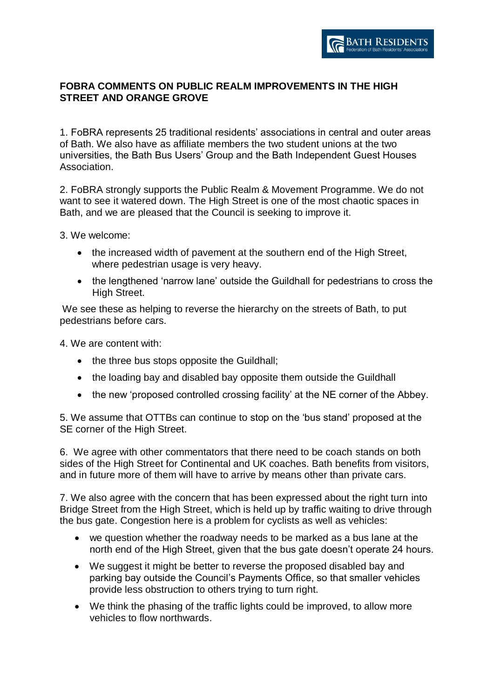

## **FOBRA COMMENTS ON PUBLIC REALM IMPROVEMENTS IN THE HIGH STREET AND ORANGE GROVE**

1. FoBRA represents 25 traditional residents' associations in central and outer areas of Bath. We also have as affiliate members the two student unions at the two universities, the Bath Bus Users' Group and the Bath Independent Guest Houses Association.

2. FoBRA strongly supports the Public Realm & Movement Programme. We do not want to see it watered down. The High Street is one of the most chaotic spaces in Bath, and we are pleased that the Council is seeking to improve it.

3. We welcome:

- the increased width of pavement at the southern end of the High Street, where pedestrian usage is very heavy.
- the lengthened 'narrow lane' outside the Guildhall for pedestrians to cross the High Street.

We see these as helping to reverse the hierarchy on the streets of Bath, to put pedestrians before cars.

4. We are content with:

- the three bus stops opposite the Guildhall;
- the loading bay and disabled bay opposite them outside the Guildhall
- the new 'proposed controlled crossing facility' at the NE corner of the Abbey.

5. We assume that OTTBs can continue to stop on the 'bus stand' proposed at the SE corner of the High Street.

6. We agree with other commentators that there need to be coach stands on both sides of the High Street for Continental and UK coaches. Bath benefits from visitors, and in future more of them will have to arrive by means other than private cars.

7. We also agree with the concern that has been expressed about the right turn into Bridge Street from the High Street, which is held up by traffic waiting to drive through the bus gate. Congestion here is a problem for cyclists as well as vehicles:

- we question whether the roadway needs to be marked as a bus lane at the north end of the High Street, given that the bus gate doesn't operate 24 hours.
- We suggest it might be better to reverse the proposed disabled bay and parking bay outside the Council's Payments Office, so that smaller vehicles provide less obstruction to others trying to turn right.
- We think the phasing of the traffic lights could be improved, to allow more vehicles to flow northwards.